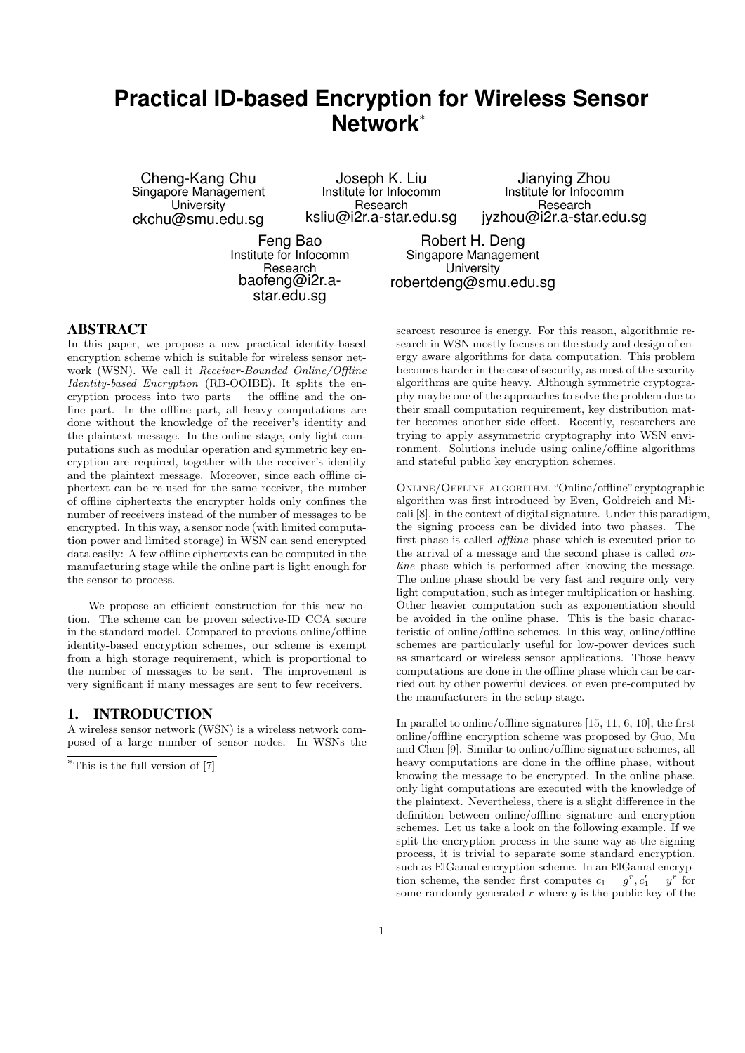# **Practical ID-based Encryption for Wireless Sensor Network***<sup>∗</sup>*

Cheng-Kang Chu Singapore Management **University** ckchu@smu.edu.sg

Joseph K. Liu Institute for Infocomm Research ksliu@i2r.a-star.edu.sg

Jianying Zhou Institute for Infocomm **Research** jyzhou@i2r.a-star.edu.sg

Feng Bao Institute for Infocomm Research baofeng@i2r.astar.edu.sg

Robert H. Deng Singapore Management **University** robertdeng@smu.edu.sg

### ABSTRACT

In this paper, we propose a new practical identity-based encryption scheme which is suitable for wireless sensor network (WSN). We call it *Receiver-Bounded Online/Offline Identity-based Encryption* (RB-OOIBE). It splits the encryption process into two parts – the offline and the online part. In the offline part, all heavy computations are done without the knowledge of the receiver's identity and the plaintext message. In the online stage, only light computations such as modular operation and symmetric key encryption are required, together with the receiver's identity and the plaintext message. Moreover, since each offline ciphertext can be re-used for the same receiver, the number of offline ciphertexts the encrypter holds only confines the number of receivers instead of the number of messages to be encrypted. In this way, a sensor node (with limited computation power and limited storage) in WSN can send encrypted data easily: A few offline ciphertexts can be computed in the manufacturing stage while the online part is light enough for the sensor to process.

We propose an efficient construction for this new notion. The scheme can be proven selective-ID CCA secure in the standard model. Compared to previous online/offline identity-based encryption schemes, our scheme is exempt from a high storage requirement, which is proportional to the number of messages to be sent. The improvement is very significant if many messages are sent to few receivers.

## 1. INTRODUCTION

A wireless sensor network (WSN) is a wireless network composed of a large number of sensor nodes. In WSNs the scarcest resource is energy. For this reason, algorithmic research in WSN mostly focuses on the study and design of energy aware algorithms for data computation. This problem becomes harder in the case of security, as most of the security algorithms are quite heavy. Although symmetric cryptography maybe one of the approaches to solve the problem due to their small computation requirement, key distribution matter becomes another side effect. Recently, researchers are trying to apply assymmetric cryptography into WSN environment. Solutions include using online/offline algorithms and stateful public key encryption schemes.

Online/Offline algorithm."Online/offline"cryptographic algorithm was first introduced by Even, Goldreich and Micali [8], in the context of digital signature. Under this paradigm, the signing process can be divided into two phases. The first phase is called *offline* phase which is executed prior to the arrival of a message and the second phase is called *online* phase which is performed after knowing the message. The online phase should be very fast and require only very light computation, such as integer multiplication or hashing. Other heavier computation such as exponentiation should be avoided in the online phase. This is the basic characteristic of online/offline schemes. In this way, online/offline schemes are particularly useful for low-power devices such as smartcard or wireless sensor applications. Those heavy computations are done in the offline phase which can be carried out by other powerful devices, or even pre-computed by the manufacturers in the setup stage.

In parallel to online/offline signatures [15, 11, 6, 10], the first online/offline encryption scheme was proposed by Guo, Mu and Chen [9]. Similar to online/offline signature schemes, all heavy computations are done in the offline phase, without knowing the message to be encrypted. In the online phase, only light computations are executed with the knowledge of the plaintext. Nevertheless, there is a slight difference in the definition between online/offline signature and encryption schemes. Let us take a look on the following example. If we split the encryption process in the same way as the signing process, it is trivial to separate some standard encryption, such as ElGamal encryption scheme. In an ElGamal encryption scheme, the sender first computes  $c_1 = g^r, c'_1 = y^r$  for some randomly generated *r* where *y* is the public key of the

*<sup>∗</sup>*This is the full version of [7]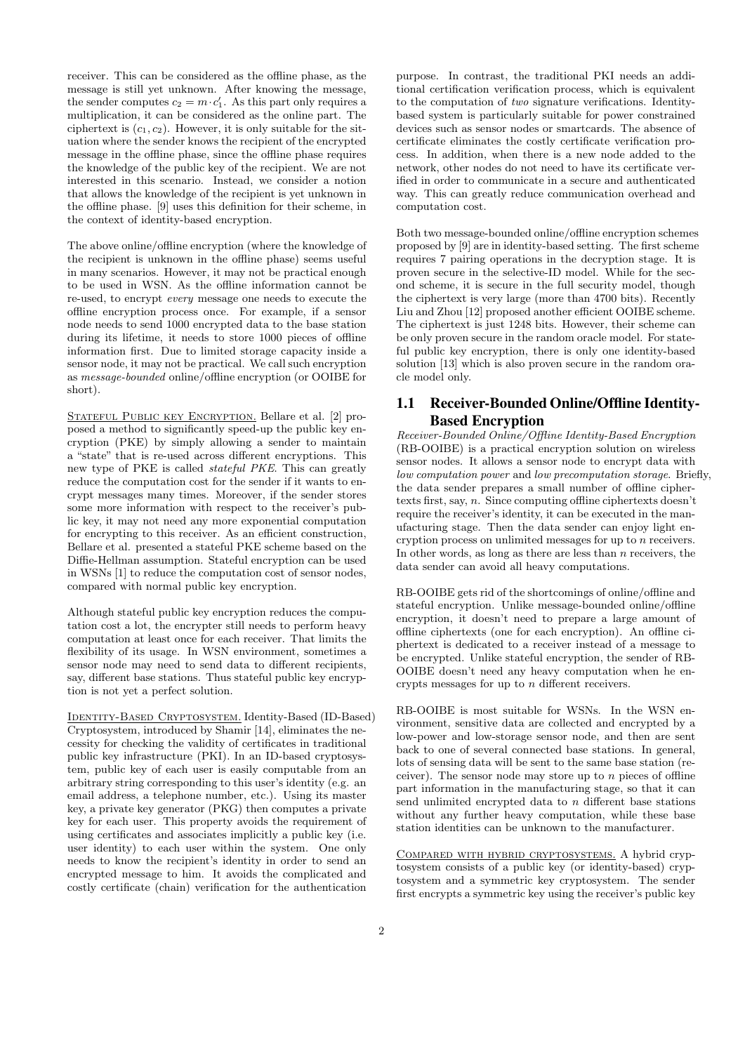receiver. This can be considered as the offline phase, as the message is still yet unknown. After knowing the message, the sender computes  $c_2 = m \cdot c'_1$ . As this part only requires a multiplication, it can be considered as the online part. The ciphertext is  $(c_1, c_2)$ . However, it is only suitable for the situation where the sender knows the recipient of the encrypted message in the offline phase, since the offline phase requires the knowledge of the public key of the recipient. We are not interested in this scenario. Instead, we consider a notion that allows the knowledge of the recipient is yet unknown in the offline phase. [9] uses this definition for their scheme, in the context of identity-based encryption.

The above online/offline encryption (where the knowledge of the recipient is unknown in the offline phase) seems useful in many scenarios. However, it may not be practical enough to be used in WSN. As the offline information cannot be re-used, to encrypt *every* message one needs to execute the offline encryption process once. For example, if a sensor node needs to send 1000 encrypted data to the base station during its lifetime, it needs to store 1000 pieces of offline information first. Due to limited storage capacity inside a sensor node, it may not be practical. We call such encryption as *message-bounded* online/offline encryption (or OOIBE for short).

STATEFUL PUBLIC KEY ENCRYPTION. Bellare et al. [2] proposed a method to significantly speed-up the public key encryption (PKE) by simply allowing a sender to maintain a "state" that is re-used across different encryptions. This new type of PKE is called *stateful PKE*. This can greatly reduce the computation cost for the sender if it wants to encrypt messages many times. Moreover, if the sender stores some more information with respect to the receiver's public key, it may not need any more exponential computation for encrypting to this receiver. As an efficient construction, Bellare et al. presented a stateful PKE scheme based on the Diffie-Hellman assumption. Stateful encryption can be used in WSNs [1] to reduce the computation cost of sensor nodes, compared with normal public key encryption.

Although stateful public key encryption reduces the computation cost a lot, the encrypter still needs to perform heavy computation at least once for each receiver. That limits the flexibility of its usage. In WSN environment, sometimes a sensor node may need to send data to different recipients, say, different base stations. Thus stateful public key encryption is not yet a perfect solution.

Identity-Based Cryptosystem. Identity-Based (ID-Based) Cryptosystem, introduced by Shamir [14], eliminates the necessity for checking the validity of certificates in traditional public key infrastructure (PKI). In an ID-based cryptosystem, public key of each user is easily computable from an arbitrary string corresponding to this user's identity (e.g. an email address, a telephone number, etc.). Using its master key, a private key generator (PKG) then computes a private key for each user. This property avoids the requirement of using certificates and associates implicitly a public key (i.e. user identity) to each user within the system. One only needs to know the recipient's identity in order to send an encrypted message to him. It avoids the complicated and costly certificate (chain) verification for the authentication

purpose. In contrast, the traditional PKI needs an additional certification verification process, which is equivalent to the computation of *two* signature verifications. Identitybased system is particularly suitable for power constrained devices such as sensor nodes or smartcards. The absence of certificate eliminates the costly certificate verification process. In addition, when there is a new node added to the network, other nodes do not need to have its certificate verified in order to communicate in a secure and authenticated way. This can greatly reduce communication overhead and computation cost.

Both two message-bounded online/offline encryption schemes proposed by [9] are in identity-based setting. The first scheme requires 7 pairing operations in the decryption stage. It is proven secure in the selective-ID model. While for the second scheme, it is secure in the full security model, though the ciphertext is very large (more than 4700 bits). Recently Liu and Zhou [12] proposed another efficient OOIBE scheme. The ciphertext is just 1248 bits. However, their scheme can be only proven secure in the random oracle model. For stateful public key encryption, there is only one identity-based solution [13] which is also proven secure in the random oracle model only.

# 1.1 Receiver-Bounded Online/Offline Identity-Based Encryption

*Receiver-Bounded Online/Offline Identity-Based Encryption* (RB-OOIBE) is a practical encryption solution on wireless sensor nodes. It allows a sensor node to encrypt data with *low computation power* and *low precomputation storage*. Briefly, the data sender prepares a small number of offline ciphertexts first, say, *n*. Since computing offline ciphertexts doesn't require the receiver's identity, it can be executed in the manufacturing stage. Then the data sender can enjoy light encryption process on unlimited messages for up to *n* receivers. In other words, as long as there are less than *n* receivers, the data sender can avoid all heavy computations.

RB-OOIBE gets rid of the shortcomings of online/offline and stateful encryption. Unlike message-bounded online/offline encryption, it doesn't need to prepare a large amount of offline ciphertexts (one for each encryption). An offline ciphertext is dedicated to a receiver instead of a message to be encrypted. Unlike stateful encryption, the sender of RB-OOIBE doesn't need any heavy computation when he encrypts messages for up to *n* different receivers.

RB-OOIBE is most suitable for WSNs. In the WSN environment, sensitive data are collected and encrypted by a low-power and low-storage sensor node, and then are sent back to one of several connected base stations. In general, lots of sensing data will be sent to the same base station (receiver). The sensor node may store up to *n* pieces of offline part information in the manufacturing stage, so that it can send unlimited encrypted data to *n* different base stations without any further heavy computation, while these base station identities can be unknown to the manufacturer.

Compared with hybrid cryptosystems. A hybrid cryptosystem consists of a public key (or identity-based) cryptosystem and a symmetric key cryptosystem. The sender first encrypts a symmetric key using the receiver's public key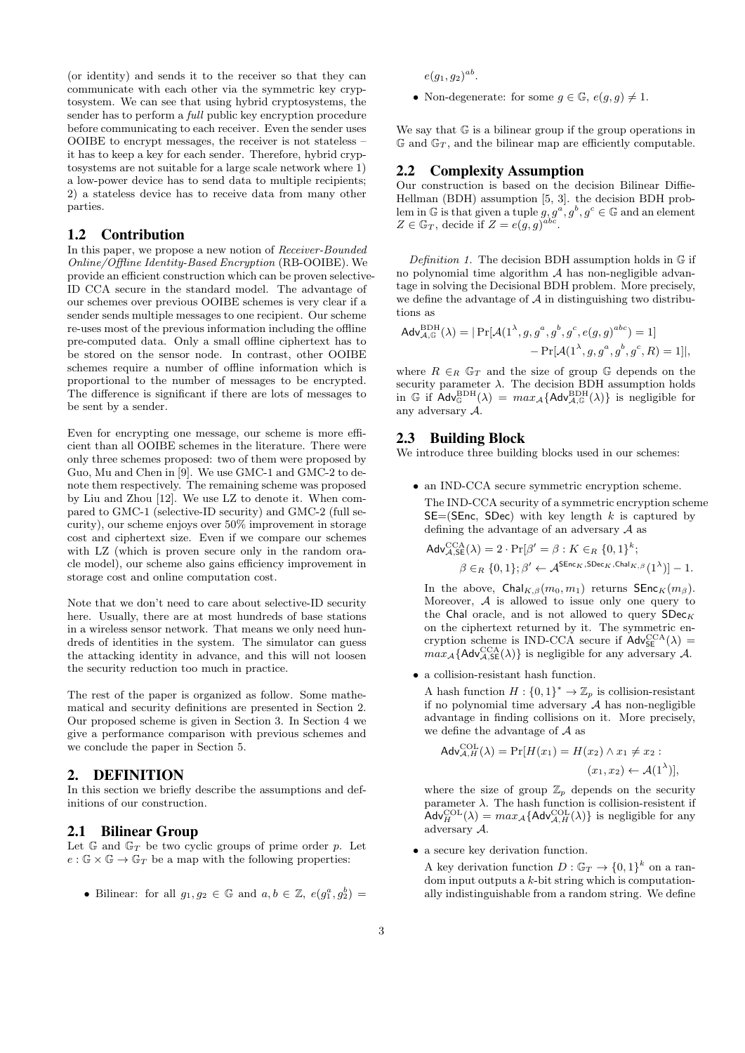(or identity) and sends it to the receiver so that they can communicate with each other via the symmetric key cryptosystem. We can see that using hybrid cryptosystems, the sender has to perform a *full* public key encryption procedure before communicating to each receiver. Even the sender uses OOIBE to encrypt messages, the receiver is not stateless – it has to keep a key for each sender. Therefore, hybrid cryptosystems are not suitable for a large scale network where 1) a low-power device has to send data to multiple recipients; 2) a stateless device has to receive data from many other parties.

## 1.2 Contribution

In this paper, we propose a new notion of *Receiver-Bounded Online/Offline Identity-Based Encryption* (RB-OOIBE). We provide an efficient construction which can be proven selective-ID CCA secure in the standard model. The advantage of our schemes over previous OOIBE schemes is very clear if a sender sends multiple messages to one recipient. Our scheme re-uses most of the previous information including the offline pre-computed data. Only a small offline ciphertext has to be stored on the sensor node. In contrast, other OOIBE schemes require a number of offline information which is proportional to the number of messages to be encrypted. The difference is significant if there are lots of messages to be sent by a sender.

Even for encrypting one message, our scheme is more efficient than all OOIBE schemes in the literature. There were only three schemes proposed: two of them were proposed by Guo, Mu and Chen in [9]. We use GMC-1 and GMC-2 to denote them respectively. The remaining scheme was proposed by Liu and Zhou [12]. We use LZ to denote it. When compared to GMC-1 (selective-ID security) and GMC-2 (full security), our scheme enjoys over 50% improvement in storage cost and ciphertext size. Even if we compare our schemes with LZ (which is proven secure only in the random oracle model), our scheme also gains efficiency improvement in storage cost and online computation cost.

Note that we don't need to care about selective-ID security here. Usually, there are at most hundreds of base stations in a wireless sensor network. That means we only need hundreds of identities in the system. The simulator can guess the attacking identity in advance, and this will not loosen the security reduction too much in practice.

The rest of the paper is organized as follow. Some mathematical and security definitions are presented in Section 2. Our proposed scheme is given in Section 3. In Section 4 we give a performance comparison with previous schemes and we conclude the paper in Section 5.

## 2. DEFINITION

In this section we briefly describe the assumptions and definitions of our construction.

## 2.1 Bilinear Group

Let  $\mathbb{G}$  and  $\mathbb{G}_T$  be two cyclic groups of prime order  $p$ . Let  $e : \mathbb{G} \times \mathbb{G} \to \mathbb{G}_T$  be a map with the following properties:

• Bilinear: for all  $g_1, g_2 \in \mathbb{G}$  and  $a, b \in \mathbb{Z}$ ,  $e(g_1^a, g_2^b)$ 

 $e(g_1, g_2)^{ab}$ .

• Non-degenerate: for some  $g \in \mathbb{G}$ ,  $e(g, g) \neq 1$ .

We say that G is a bilinear group if the group operations in  $\mathbb{G}$  and  $\mathbb{G}_T$ , and the bilinear map are efficiently computable.

#### 2.2 Complexity Assumption

Our construction is based on the decision Bilinear Diffie-Hellman (BDH) assumption [5, 3]. the decision BDH problem in  $\mathbb{G}$  is that given a tuple  $g, g^a, g^b, g^c \in \mathbb{G}$  and an element  $Z \in \mathbb{G}_T$ , decide if  $Z = e(g, g)^{abc}$ .

*Definition 1.* The decision BDH assumption holds in G if no polynomial time algorithm *A* has non-negligible advantage in solving the Decisional BDH problem. More precisely, we define the advantage of  $A$  in distinguishing two distributions as

$$
Adv_{\mathcal{A},\mathbb{G}}^{BDH}(\lambda) = | \Pr[\mathcal{A}(1^{\lambda}, g, g^a, g^b, g^c, e(g, g)^{abc}) = 1] - \Pr[\mathcal{A}(1^{\lambda}, g, g^a, g^b, g^c, R) = 1]|,
$$

where  $R \in_R \mathbb{G}_T$  and the size of group  $\mathbb{G}$  depends on the security parameter  $\lambda$ . The decision BDH assumption holds in  $\mathbb{G}$  if  $\mathsf{Adv}_{\mathbb{G}}^{\mathrm{BDH}}(\lambda) = max_{\mathcal{A}} \{ \mathsf{Adv}_{\mathcal{A},\mathbb{G}}^{\mathrm{BDH}}(\lambda) \}$  is negligible for any adversary *A*.

#### 2.3 Building Block

We introduce three building blocks used in our schemes:

• an IND-CCA secure symmetric encryption scheme. The IND-CCA security of a symmetric encryption scheme SE=(SEnc, SDec) with key length *k* is captured by defining the advantage of an adversary *A* as

$$
\begin{aligned} \mathsf{Adv}_{\mathcal{A},\mathsf{SE}}^{\mathsf{CCA}}(\lambda) &= 2 \cdot \Pr[\beta' = \beta : K \in_R \{0,1\}^k; \\ \beta \in_R \{0,1\}; \beta' &\leftarrow \mathcal{A}^{\mathsf{SEnc}_K, \mathsf{SDec}_K, \mathsf{Chal}_{K,\beta}}(1^{\lambda})] - 1. \end{aligned}
$$

In the above,  $\text{Chal}_{K,\beta}(m_0, m_1)$  returns  $\text{SEnc}_K(m_\beta)$ . Moreover, *A* is allowed to issue only one query to the Chal oracle, and is not allowed to query  $SDec K$ on the ciphertext returned by it. The symmetric encryption scheme is IND-CCA secure if  $\mathsf{Adv}_{\mathsf{SE}}^{\mathsf{CCA}}(\lambda)$  =  $max_{\mathcal{A}} \{ \mathsf{Adv}_{\mathcal{A},\mathsf{SE}}^{\mathsf{CCA}}(\lambda) \}$  is negligible for any adversary  $\mathcal{A}$ .

*•* a collision-resistant hash function.

A hash function  $H: \{0,1\}^* \to \mathbb{Z}_p$  is collision-resistant if no polynomial time adversary *A* has non-negligible advantage in finding collisions on it. More precisely, we define the advantage of *A* as

$$
\mathsf{Adv}_{\mathcal{A},H}^{\mathsf{COL}}(\lambda) = \Pr[H(x_1) = H(x_2) \land x_1 \neq x_2 :(x_1, x_2) \leftarrow \mathcal{A}(1^{\lambda})],
$$

where the size of group  $\mathbb{Z}_p$  depends on the security parameter  $\lambda$ . The hash function is collision-resistent if  $\mathsf{Adv}_{H}^{\mathrm{COL}}(\lambda) = max_{\mathcal{A}} \{ \mathsf{Adv}_{\mathcal{A},H}^{\mathrm{COL}}(\lambda) \}$  is negligible for any adversary *A*.

*•* a secure key derivation function.

A key derivation function  $D : \mathbb{G}_T \to \{0,1\}^k$  on a random input outputs a *k*-bit string which is computationally indistinguishable from a random string. We define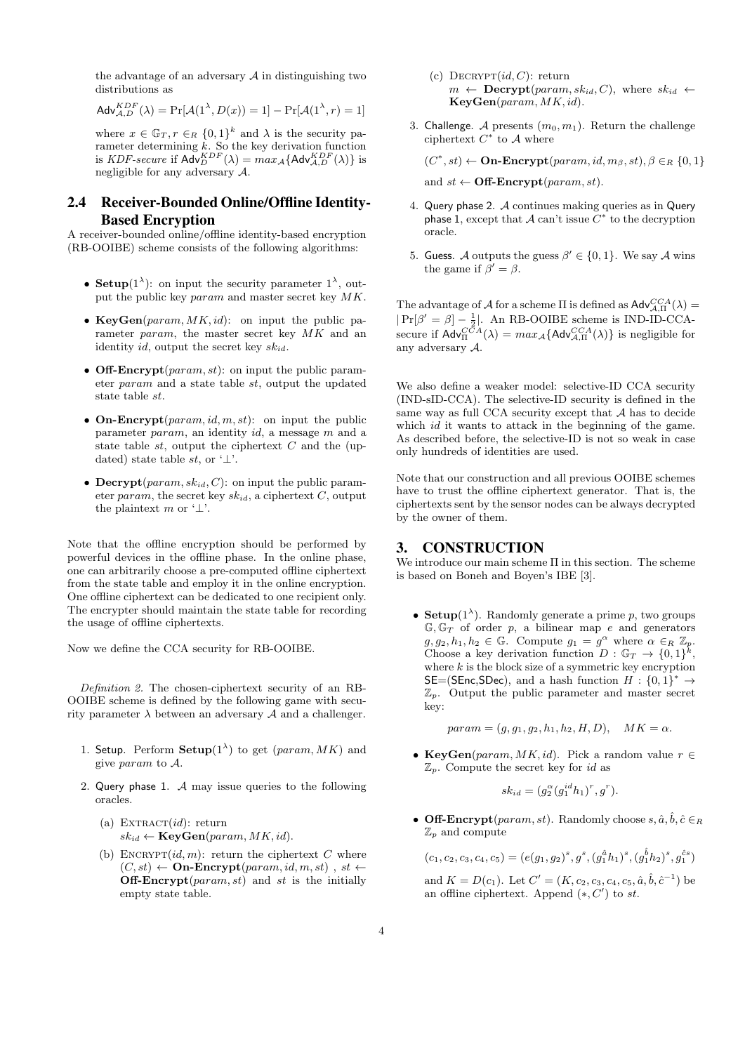the advantage of an adversary  $A$  in distinguishing two distributions as

$$
Adv_{A,D}^{KDF}(\lambda) = \Pr[\mathcal{A}(1^{\lambda}, D(x)) = 1] - \Pr[\mathcal{A}(1^{\lambda}, r) = 1]
$$

where  $x \in \mathbb{G}_T$ ,  $r \in_R \{0,1\}^k$  and  $\lambda$  is the security parameter determining *k*. So the key derivation function is *KDF-secure* if  $\mathsf{Adv}_{D}^{KDF}(\lambda) = max_{\mathcal{A}} \{ \mathsf{Adv}_{\mathcal{A}, D}^{KDF}(\lambda) \}$  is negligible for any adversary *A*.

# 2.4 Receiver-Bounded Online/Offline Identity-Based Encryption

A receiver-bounded online/offline identity-based encryption (RB-OOIBE) scheme consists of the following algorithms:

- **Setup**( $1^{\lambda}$ ): on input the security parameter  $1^{\lambda}$ , output the public key *param* and master secret key *MK*.
- *•* **KeyGen**(*param, MK, id*): on input the public parameter *param*, the master secret key *MK* and an identity *id*, output the secret key *skid*.
- *•* **Off-Encrypt**(*param, st*): on input the public parameter *param* and a state table *st*, output the updated state table *st*.
- *•* **On-Encrypt**(*param, id, m, st*): on input the public parameter *param*, an identity *id*, a message *m* and a state table *st*, output the ciphertext *C* and the (updated) state table *st*, or '*⊥*'.
- *•* **Decrypt**(*param, skid, C*): on input the public parameter *param*, the secret key  $sk_{id}$ , a ciphertext *C*, output the plaintext *m* or '*⊥*'.

Note that the offline encryption should be performed by powerful devices in the offline phase. In the online phase, one can arbitrarily choose a pre-computed offline ciphertext from the state table and employ it in the online encryption. One offline ciphertext can be dedicated to one recipient only. The encrypter should maintain the state table for recording the usage of offline ciphertexts.

Now we define the CCA security for RB-OOIBE.

*Definition 2.* The chosen-ciphertext security of an RB-OOIBE scheme is defined by the following game with security parameter  $\lambda$  between an adversary  $\mathcal A$  and a challenger.

- 1. Setup. Perform  $\mathbf{Setup}(1^{\lambda})$  to get  $(param, MK)$  and give *param* to *A*.
- 2. Query phase 1. *A* may issue queries to the following oracles.
	- (a)  $\text{EXTRACT}(id)$ : return  $sk_{id} \leftarrow \textbf{KeyGen}(param, MK, id).$
	- (b) ENCRYPT $(id, m)$ : return the ciphertext  $C$  where  $(C, st) \leftarrow$  **On-Encrypt**( $param, id, m, st)$ ,  $st \leftarrow$ **Off-Encrypt**(*param, st*) and *st* is the initially empty state table.
- (c)  $\text{DECRYPT}(id, C)$ : return  $m \leftarrow$  **Decrypt**( $param, sk_{id}, C$ ), where  $sk_{id} \leftarrow$ **KeyGen**(*param, MK, id*).
- 3. Challenge. *A* presents  $(m_0, m_1)$ . Return the challenge ciphertext  $C^*$  to  $\mathcal A$  where

 $(C^*, st) \leftarrow \textbf{On-Encrypt}(param, id, m_\beta, st), \beta \in_R \{0, 1\}$ 

and  $st \leftarrow \textbf{Off-Encrypt}(param, st)$ .

- 4. Query phase 2. *A* continues making queries as in Query phase 1, except that  $A$  can't issue  $C^*$  to the decryption oracle.
- 5. Guess. *A* outputs the guess  $\beta' \in \{0, 1\}$ . We say *A* wins the game if  $\beta' = \beta$ .

The advantage of *A* for a scheme  $\Pi$  is defined as  $\mathsf{Adv}_{A,\Pi}^{CCA}(\lambda)$  =  $|Pr[\beta' = \beta] - \frac{1}{2}|$ . An RB-OOIBE scheme is IND-ID-CCAsecure if  $\mathsf{Adv}_{\Pi}^{CCA}(\lambda) = max_{\mathcal{A}} \{ \mathsf{Adv}_{\mathcal{A},\Pi}^{CCA}(\lambda) \}$  is negligible for any adversary *A*.

We also define a weaker model: selective-ID CCA security (IND-sID-CCA). The selective-ID security is defined in the same way as full CCA security except that *A* has to decide which *id* it wants to attack in the beginning of the game. As described before, the selective-ID is not so weak in case only hundreds of identities are used.

Note that our construction and all previous OOIBE schemes have to trust the offline ciphertext generator. That is, the ciphertexts sent by the sensor nodes can be always decrypted by the owner of them.

## 3. CONSTRUCTION

We introduce our main scheme Π in this section. The scheme is based on Boneh and Boyen's IBE [3].

• **Setup**( $1^{\lambda}$ ). Randomly generate a prime *p*, two groups  $\mathbb{G}, \mathbb{G}_T$  of order  $p$ , a bilinear map  $e$  and generators  $g, g_2, h_1, h_2 \in \mathbb{G}$ . Compute  $g_1 = g^{\alpha}$  where  $\alpha \in_R \mathbb{Z}_p$ . Choose a key derivation function  $D : \mathbb{G}_T \to \{0,1\}^k$ , where  $k$  is the block size of a symmetric key encryption  $SE=(SEnc,SDec)$ , and a hash function  $H: \{0,1\}^* \rightarrow$  $\mathbb{Z}_p$ . Output the public parameter and master secret key:

 $param = (g, g_1, g_2, h_1, h_2, H, D), \quad MK = \alpha.$ 

*•* **KeyGen**(*param, MK, id*). Pick a random value *r ∈* Z*p*. Compute the secret key for *id* as

$$
sk_{id} = (g_2^{\alpha}(g_1^{id}h_1)^r, g^r).
$$

• **Off-Encrypt**( $param, st$ ). Randomly choose  $s, \hat{a}, \hat{b}, \hat{c} \in R$  $\mathbb{Z}_p$  and compute

 $(c_1, c_2, c_3, c_4, c_5) = (e(g_1, g_2)^s, g^s, (g_1^{\hat{a}}h_1)^s, (g_1^{\hat{b}}h_2)^s, g_1^{\hat{c}s})$ 

and  $K = D(c_1)$ . Let  $C' = (K, c_2, c_3, c_4, c_5, \hat{a}, \hat{b}, \hat{c}^{-1})$  be an offline ciphertext. Append (*∗, C′* ) to *st*.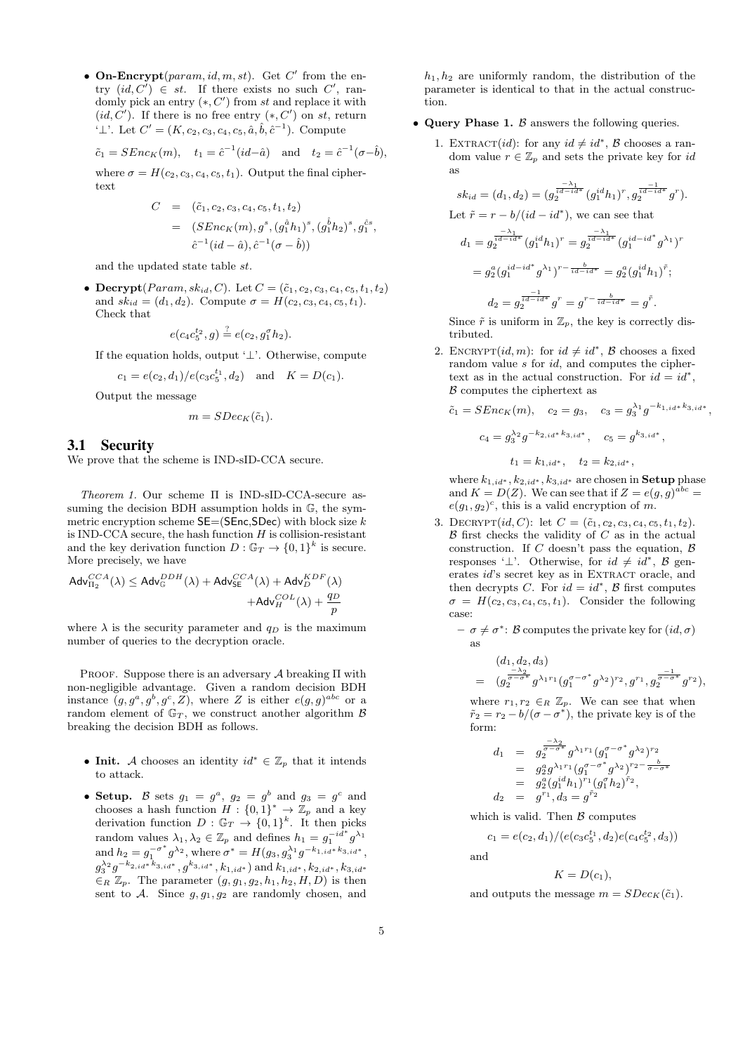• **On-Encrypt**( $param$ , *id*, *m*, *st*). Get *C*<sup>'</sup> from the entry  $(id, C') \in st$ . If there exists no such  $C'$ , randomly pick an entry (*∗, C′* ) from *st* and replace it with  $(id, C')$ . If there is no free entry  $(*, C')$  on  $st$ , return  $'⊥'$ . Let  $C' = (K, c_2, c_3, c_4, c_5, \hat{a}, \hat{b}, \hat{c}^{-1})$ . Compute

$$
\tilde{c}_1 = \text{SEnc}_K(m), \quad t_1 = \hat{c}^{-1}(id - \hat{a}) \quad \text{and} \quad t_2 = \hat{c}^{-1}(\sigma - \hat{b}),
$$

where  $\sigma = H(c_2, c_3, c_4, c_5, t_1)$ . Output the final ciphertext

$$
C = (\tilde{c}_1, c_2, c_3, c_4, c_5, t_1, t_2)
$$
  
=  $(SEnc_K(m), g^s, (g_1^{\hat{a}}h_1)^s, (g_1^{\hat{b}}h_2)^s, g_1^{\hat{c}s},$   
 $\hat{c}^{-1}(id - \hat{a}), \hat{c}^{-1}(\sigma - \hat{b}))$ 

and the updated state table *st*.

• **Decrypt**(*Param, sk<sub>id</sub>, <i>C*). Let  $C = (\tilde{c}_1, c_2, c_3, c_4, c_5, t_1, t_2)$ and  $sk_{id} = (d_1, d_2)$ . Compute  $\sigma = H(c_2, c_3, c_4, c_5, t_1)$ . Check that

$$
e(c_4c_5^{t_2}, g) \stackrel{?}{=} e(c_2, g_1^{\sigma}h_2).
$$

If the equation holds, output '*⊥*'. Otherwise, compute

$$
c_1 = e(c_2, d_1)/e(c_3c_5^{t_1}, d_2)
$$
 and  $K = D(c_1)$ .

Output the message

$$
m = SDec_K(\tilde{c}_1).
$$

## 3.1 Security

We prove that the scheme is IND-sID-CCA secure.

*Theorem 1.* Our scheme Π is IND-sID-CCA-secure assuming the decision BDH assumption holds in  $\mathbb{G}$ , the symmetric encryption scheme SE=(SEnc,SDec) with block size *k* is IND-CCA secure, the hash function *H* is collision-resistant and the key derivation function  $D: \mathbb{G}_T \to \{0,1\}^k$  is secure. More precisely, we have

$$
Adv_{\Pi_2}^{CCA}(\lambda) \leq Adv_{\mathbb{G}}^{DBH}(\lambda) + Adv_{\mathsf{SE}}^{CCA}(\lambda) + Adv_{D}^{KDF}(\lambda) + Adv_{H}^{KDF}(\lambda) + Adv_{H}^{COL}(\lambda) + \frac{q_{D}}{p}
$$

where  $\lambda$  is the security parameter and  $q_D$  is the maximum number of queries to the decryption oracle.

Proof. Suppose there is an adversary *A* breaking Π with non-negligible advantage. Given a random decision BDH instance  $(g, g^a, g^b, g^c, Z)$ , where *Z* is either  $e(g, g)^{abc}$  or a random element of  $\mathbb{G}_T$ , we construct another algorithm  $\beta$ breaking the decision BDH as follows.

- **Init.** *A* chooses an identity  $id^* \in \mathbb{Z}_p$  that it intends to attack.
- **Setup.** *B* sets  $g_1 = g^a$ ,  $g_2 = g^b$  and  $g_3 = g^c$  and chooses a hash function  $H: \{0,1\}^* \to \mathbb{Z}_p$  and a key derivation function  $D : \mathbb{G}_T \to \{0,1\}^k$ . It then picks random values  $\lambda_1, \lambda_2 \in \mathbb{Z}_p$  and defines  $h_1 = g_1^{-id^*} g^{\lambda_1}$ and  $h_2 = g_1^{-\sigma^*} g^{\lambda_2}$ , where  $\sigma^* = H(g_3, g_3^{\lambda_1} g^{-k_{1,id}*k_{3,id}*},$  $g_{3}^{\lambda_2}g^{-k_{2,id}*k_{3,id}*}, g^{k_{3,id}*}, k_{1,id*}) \text{ and } k_{1,id*}, k_{2,id*}, k_{3,id*}$ *∈<sup>R</sup>* Z*p*. The parameter (*g, g*1*, g*2*, h*1*, h*2*, H, D*) is then sent to *A*. Since *g, g*1*, g*<sup>2</sup> are randomly chosen, and

 $h_1, h_2$  are uniformly random, the distribution of the parameter is identical to that in the actual construction.

- *•* **Query Phase 1.** *B* answers the following queries.
	- 1. EXTRACT(*id*): for any  $id \neq id^*$ ,  $\beta$  chooses a random value  $r \in \mathbb{Z}_p$  and sets the private key for *id* as

$$
sk_{id} = (d_1, d_2) = (g_2^{\frac{-\lambda_1}{id - id^*}} (g_1^{id} h_1)^r, g_2^{\frac{-1}{id - id^*}} g^r).
$$
  
Let  $\tilde{r} = r - b/(id - id^*)$ , we can see that  

$$
d_1 = g_2^{\frac{-\lambda_1}{id - id^*}} (g_1^{id} h_1)^r = g_2^{\frac{-\lambda_1}{id - id^*}} (g_1^{id - id^*} g^{\lambda_1})^r
$$

$$
= g_2^a (g_1^{id - id^*} g^{\lambda_1})^{r - \frac{b}{id - id^*}} = g_2^a (g_1^{id} h_1)^{\tilde{r}};
$$

$$
d_2 = g_2^{\frac{-1}{id - id^*}} g^r = g^{r - \frac{b}{id - id^*}} = g^{\tilde{r}}.
$$

Since  $\tilde{r}$  is uniform in  $\mathbb{Z}_p$ , the key is correctly distributed.

2. ENCRYPT $(id, m)$ : for  $id \neq id^*$ ,  $\beta$  chooses a fixed random value *s* for *id*, and computes the ciphertext as in the actual construction. For  $id = id^*$ , *B* computes the ciphertext as

$$
\tilde{c}_1 = SEnc_K(m), \quad c_2 = g_3, \quad c_3 = g_3^{\lambda_1} g^{-k_{1,id}*k_{3,id}*},
$$

$$
c_4 = g_3^{\lambda_2} g^{-k_{2,id}*k_{3,id}*}, \quad c_5 = g^{k_{3,id}*},
$$

$$
t_1 = k_{1,id*}, \quad t_2 = k_{2,id*},
$$

where  $k_{1, id}$ <sup>*\**</sup>,  $k_{2, id}$ <sup>\*</sup>,  $k_{3, id}$ <sup>\*</sup> are chosen in **Setup** phase and  $K = D(Z)$ . We can see that if  $Z = e(g, g)^{abc}$  $e(g_1, g_2)^c$ , this is a valid encryption of *m*.

- 3. DECRYPT $(id, C)$ : let  $C = (\tilde{c}_1, c_2, c_3, c_4, c_5, t_1, t_2)$ . *B* first checks the validity of *C* as in the actual construction. If *C* doesn't pass the equation,  $\beta$ responses ' $\perp$ '. Otherwise, for  $id \neq id^*$ ,  $\beta$  generates *id*'s secret key as in EXTRACT oracle, and then decrypts *C*. For  $id = id^*$ ,  $\beta$  first computes  $\sigma = H(c_2, c_3, c_4, c_5, t_1)$ . Consider the following case:
	- $-\sigma \neq \sigma^*$ : *B* computes the private key for  $(id, \sigma)$ as

$$
(d_1, d_2, d_3)
$$
  
=  $(g_2^{\frac{-\lambda_2}{\sigma-\sigma^*}} g^{\lambda_1 r_1} (g_1^{\sigma-\sigma^*} g^{\lambda_2})^{r_2}, g^{r_1}, g_2^{\frac{-1}{\sigma-\sigma^*}} g^{r_2}),$ 

where  $r_1, r_2 \in_R \mathbb{Z}_p$ . We can see that when  $\tilde{r}_2 = r_2 - b/(\sigma - \sigma^*)$ , the private key is of the form:

$$
d_1 = g_2^{\frac{-\lambda_2}{\sigma-\sigma^*}} g^{\lambda_1 r_1} (g_1^{\sigma-\sigma^*} g^{\lambda_2})^{r_2}
$$
  
\n
$$
= g_2^a g^{\lambda_1 r_1} (g_1^{\sigma-\sigma^*} g^{\lambda_2})^{r_2 - \frac{b}{\sigma-\sigma^*}}
$$
  
\n
$$
= g_2^a (g_1^{id} h_1)^{r_1} (g_1^{\sigma} h_2)^{\tilde{r}_2},
$$
  
\n
$$
d_2 = g^{r_1}, d_3 = g^{\tilde{r}_2}
$$

which is valid. Then *B* computes

$$
c_1 = e(c_2, d_1) / (e(c_3 c_5^{t_1}, d_2) e(c_4 c_5^{t_2}, d_3))
$$
 and

 $K = D(c_1)$ ,

and outputs the message  $m = SDec_K(\tilde{c}_1)$ .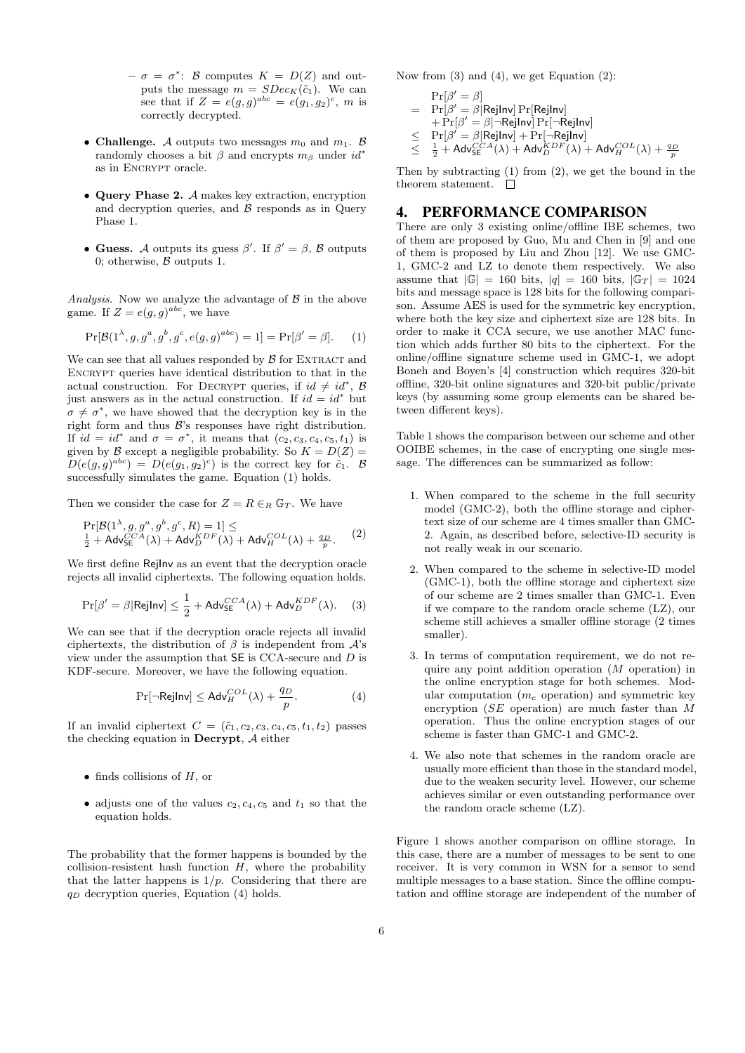- $-\sigma = \sigma^*$ : *B* computes  $K = D(Z)$  and outputs the message  $m = SDec_K(\tilde{c}_1)$ . We can see that if  $Z = e(g, g)^{abc} = e(g_1, g_2)^c$ , *m* is correctly decrypted.
- **Challenge.** *A* outputs two messages  $m_0$  and  $m_1$ . *B* randomly chooses a bit  $\beta$  and encrypts  $m_\beta$  under  $id^*$ as in ENCRYPT oracle.
- *•* **Query Phase 2.** *A* makes key extraction, encryption and decryption queries, and  $\beta$  responds as in Query Phase 1.
- **Guess.** *A* outputs its guess  $\beta'$ . If  $\beta' = \beta$ , *B* outputs 0; otherwise, *B* outputs 1.

*Analysis.* Now we analyze the advantage of *B* in the above game. If  $Z = e(g, g)^{abc}$ , we have

$$
Pr[\mathcal{B}(1^{\lambda}, g, g^a, g^b, g^c, e(g, g)^{abc}) = 1] = Pr[\beta' = \beta].
$$
 (1)

We can see that all values responded by  $\beta$  for EXTRACT and ENCRYPT queries have identical distribution to that in the actual construction. For DECRYPT queries, if  $id \neq id^*$ , B just answers as in the actual construction. If  $id = id^*$  but  $\sigma \neq \sigma^*$ , we have showed that the decryption key is in the right form and thus *B*'s responses have right distribution. If  $id = id^*$  and  $\sigma = \sigma^*$ , it means that  $(c_2, c_3, c_4, c_5, t_1)$  is given by *B* except a negligible probability. So  $K = D(Z)$  $D(e(g,g)^{abc}) = D(e(g_1,g_2)^c)$  is the correct key for  $\tilde{c}_1$ . *B* successfully simulates the game. Equation (1) holds.

Then we consider the case for  $Z = R \in_R \mathbb{G}_T$ . We have

$$
\Pr[\mathcal{B}(1^{\lambda}, g, g^a, g^b, g^c, R) = 1] \le
$$
  
<sub>2</sub><sup>1</sup> + AdvSE<sup>CA</sup><sub>SE</sub>(\lambda) + Adv<sup>KDF</sup><sub>D</sub>(\lambda) + Adv<sup>COL</sup><sub>H</sub>(\lambda) +  $\frac{q_D}{p}$ . (2)

We first define RejInv as an event that the decryption oracle rejects all invalid ciphertexts. The following equation holds.

$$
\Pr[\beta' = \beta | \text{RejInv}] \le \frac{1}{2} + \text{Adv}_{\text{SE}}^{CCA}(\lambda) + \text{Adv}_{D}^{KDF}(\lambda). \tag{3}
$$

We can see that if the decryption oracle rejects all invalid ciphertexts, the distribution of  $\beta$  is independent from  $\mathcal{A}$ 's view under the assumption that SE is CCA-secure and *D* is KDF-secure. Moreover, we have the following equation.

$$
\Pr[\neg \mathsf{RejInv}] \le \mathsf{Adv}_{H}^{COL}(\lambda) + \frac{q_D}{p}.\tag{4}
$$

If an invalid ciphertext  $C = (\tilde{c}_1, c_2, c_3, c_4, c_5, t_1, t_2)$  passes the checking equation in **Decrypt**, *A* either

- *•* finds collisions of *H*, or
- adjusts one of the values  $c_2, c_4, c_5$  and  $t_1$  so that the equation holds.

The probability that the former happens is bounded by the collision-resistent hash function  $H$ , where the probability that the latter happens is  $1/p$ . Considering that there are *q<sup>D</sup>* decryption queries, Equation (4) holds.

Now from (3) and (4), we get Equation (2):

 $Pr[\beta' = \beta]$  $=$   $\Pr[\beta' = \beta |$ RejInv $]$   $\Pr[\mathsf{RejInv}]$ + Pr[*β ′* = *β|¬*RejInv] Pr[*¬*RejInv]  $\leq$   $\Pr[\beta' = \beta | \mathsf{RejInv}] + \Pr[\neg \mathsf{RejInv}]$ <br>  $\leq$   $\frac{1}{2} + \mathsf{Adv}^{CCA}_{\mathsf{SE}}(\lambda) + \mathsf{Adv}^{KDF}_D(\lambda) + \mathsf{Adv}^{COL}_H(\lambda) + \frac{q_D}{p}$ *≤*

Then by subtracting (1) from (2), we get the bound in the theorem statement.  $\quad \Box$ 

## 4. PERFORMANCE COMPARISON

There are only 3 existing online/offline IBE schemes, two of them are proposed by Guo, Mu and Chen in [9] and one of them is proposed by Liu and Zhou [12]. We use GMC-1, GMC-2 and LZ to denote them respectively. We also assume that  $|G| = 160$  bits,  $|q| = 160$  bits,  $|G_T| = 1024$ bits and message space is 128 bits for the following comparison. Assume AES is used for the symmetric key encryption, where both the key size and ciphertext size are 128 bits. In order to make it CCA secure, we use another MAC function which adds further 80 bits to the ciphertext. For the online/offline signature scheme used in GMC-1, we adopt Boneh and Boyen's [4] construction which requires 320-bit offline, 320-bit online signatures and 320-bit public/private keys (by assuming some group elements can be shared between different keys).

Table 1 shows the comparison between our scheme and other OOIBE schemes, in the case of encrypting one single message. The differences can be summarized as follow:

- 1. When compared to the scheme in the full security model (GMC-2), both the offline storage and ciphertext size of our scheme are 4 times smaller than GMC-2. Again, as described before, selective-ID security is not really weak in our scenario.
- 2. When compared to the scheme in selective-ID model (GMC-1), both the offline storage and ciphertext size of our scheme are 2 times smaller than GMC-1. Even if we compare to the random oracle scheme (LZ), our scheme still achieves a smaller offline storage (2 times smaller).
- 3. In terms of computation requirement, we do not require any point addition operation (*M* operation) in the online encryption stage for both schemes. Modular computation (*m<sup>c</sup>* operation) and symmetric key encryption (*SE* operation) are much faster than *M* operation. Thus the online encryption stages of our scheme is faster than GMC-1 and GMC-2.
- 4. We also note that schemes in the random oracle are usually more efficient than those in the standard model, due to the weaken security level. However, our scheme achieves similar or even outstanding performance over the random oracle scheme (LZ).

Figure 1 shows another comparison on offline storage. In this case, there are a number of messages to be sent to one receiver. It is very common in WSN for a sensor to send multiple messages to a base station. Since the offline computation and offline storage are independent of the number of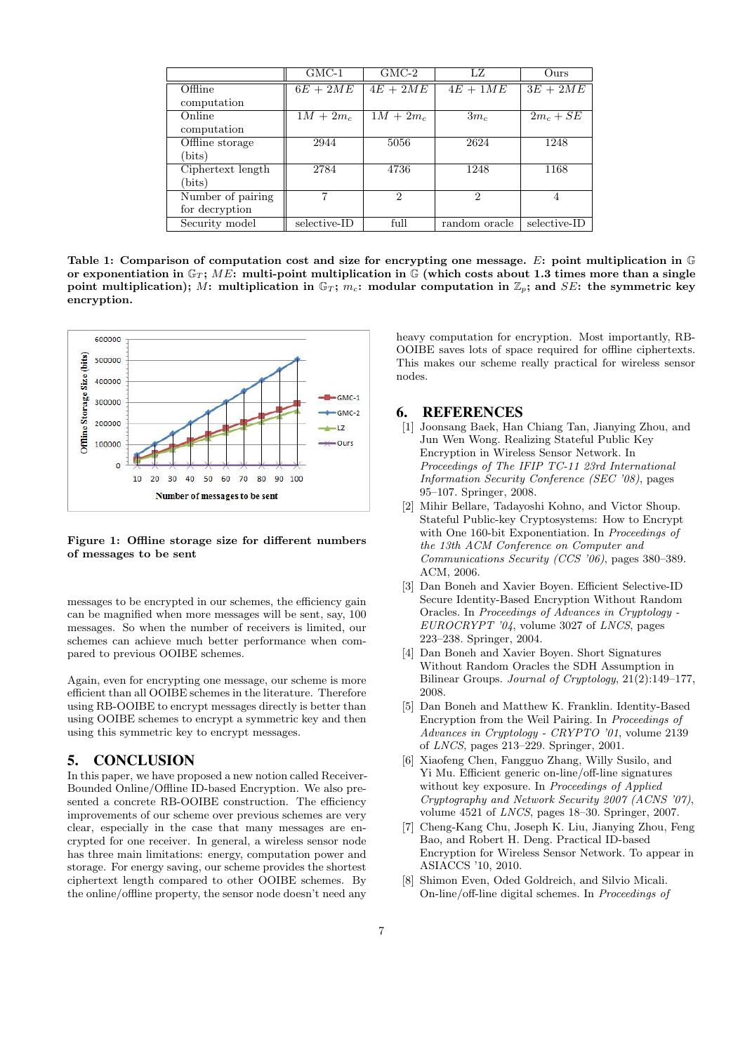|                   | $GMC-1$      | $GMC-2$     | LZ            | Ours <sup></sup> |
|-------------------|--------------|-------------|---------------|------------------|
| Offline           | $6E + 2ME$   | $4E + 2ME$  | $4E + 1ME$    | $3E + 2ME$       |
| computation       |              |             |               |                  |
| Online            | $1M + 2m_c$  | $1M + 2m_c$ | $3m_c$        | $2m_c + SE$      |
| computation       |              |             |               |                  |
| Offline storage   | 2944         | 5056        | 2624          | 1248             |
| (bits)            |              |             |               |                  |
| Ciphertext length | 2784         | 4736        | 1248          | 1168             |
| (bits)            |              |             |               |                  |
| Number of pairing |              | 2           | 2             | 4                |
| for decryption    |              |             |               |                  |
| Security model    | selective-ID | full        | random oracle | selective-ID     |

**Table 1: Comparison of computation cost and size for encrypting one message.** *E***: point multiplication in** G or exponentiation in  $\mathbb{G}_T$ ; ME: multi-point multiplication in  $\mathbb{G}$  (which costs about 1.3 times more than a single **point multiplication);** *M*: multiplication in  $\mathbb{G}_T$ ; *m<sub>c</sub>*: modular computation in  $\mathbb{Z}_p$ ; and *SE*: the symmetric key **encryption.**



**Figure 1: Offline storage size for different numbers of messages to be sent**

messages to be encrypted in our schemes, the efficiency gain can be magnified when more messages will be sent, say, 100 messages. So when the number of receivers is limited, our schemes can achieve much better performance when compared to previous OOIBE schemes.

Again, even for encrypting one message, our scheme is more efficient than all OOIBE schemes in the literature. Therefore using RB-OOIBE to encrypt messages directly is better than using OOIBE schemes to encrypt a symmetric key and then using this symmetric key to encrypt messages.

## 5. CONCLUSION

In this paper, we have proposed a new notion called Receiver-Bounded Online/Offline ID-based Encryption. We also presented a concrete RB-OOIBE construction. The efficiency improvements of our scheme over previous schemes are very clear, especially in the case that many messages are encrypted for one receiver. In general, a wireless sensor node has three main limitations: energy, computation power and storage. For energy saving, our scheme provides the shortest ciphertext length compared to other OOIBE schemes. By the online/offline property, the sensor node doesn't need any

heavy computation for encryption. Most importantly, RB-OOIBE saves lots of space required for offline ciphertexts. This makes our scheme really practical for wireless sensor nodes.

#### 6. REFERENCES

- [1] Joonsang Baek, Han Chiang Tan, Jianying Zhou, and Jun Wen Wong. Realizing Stateful Public Key Encryption in Wireless Sensor Network. In *Proceedings of The IFIP TC-11 23rd International Information Security Conference (SEC '08)*, pages 95–107. Springer, 2008.
- [2] Mihir Bellare, Tadayoshi Kohno, and Victor Shoup. Stateful Public-key Cryptosystems: How to Encrypt with One 160-bit Exponentiation. In *Proceedings of the 13th ACM Conference on Computer and Communications Security (CCS '06)*, pages 380–389. ACM, 2006.
- [3] Dan Boneh and Xavier Boyen. Efficient Selective-ID Secure Identity-Based Encryption Without Random Oracles. In *Proceedings of Advances in Cryptology - EUROCRYPT '04*, volume 3027 of *LNCS*, pages 223–238. Springer, 2004.
- [4] Dan Boneh and Xavier Boyen. Short Signatures Without Random Oracles the SDH Assumption in Bilinear Groups. *Journal of Cryptology*, 21(2):149–177, 2008.
- [5] Dan Boneh and Matthew K. Franklin. Identity-Based Encryption from the Weil Pairing. In *Proceedings of Advances in Cryptology - CRYPTO '01*, volume 2139 of *LNCS*, pages 213–229. Springer, 2001.
- [6] Xiaofeng Chen, Fangguo Zhang, Willy Susilo, and Yi Mu. Efficient generic on-line/off-line signatures without key exposure. In *Proceedings of Applied Cryptography and Network Security 2007 (ACNS '07)*, volume 4521 of *LNCS*, pages 18–30. Springer, 2007.
- [7] Cheng-Kang Chu, Joseph K. Liu, Jianying Zhou, Feng Bao, and Robert H. Deng. Practical ID-based Encryption for Wireless Sensor Network. To appear in ASIACCS '10, 2010.
- [8] Shimon Even, Oded Goldreich, and Silvio Micali. On-line/off-line digital schemes. In *Proceedings of*